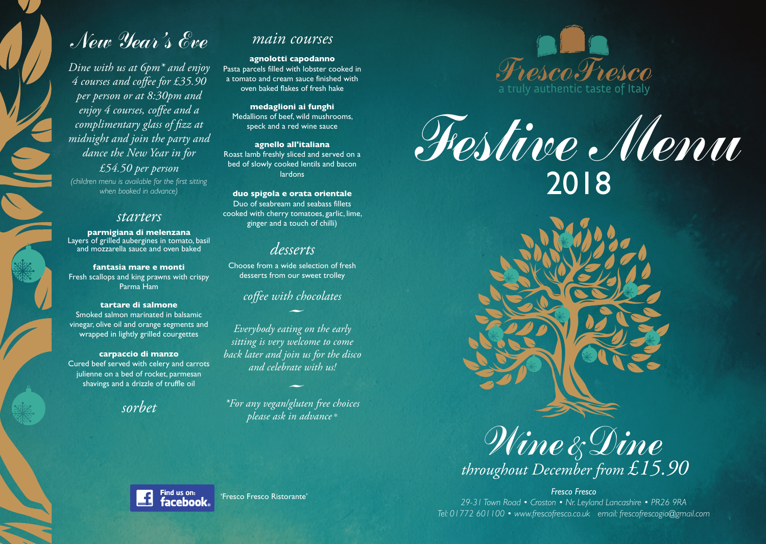# New Year 's Eve

*Dine with us at 6pm\* and enjoy 4 courses and coffee for £35.90 per person or at 8:30pm and enjoy 4 courses, coffee and a complimentary glass of fizz at midnight and join the party and dance the New Year in for £54.50 per person (children menu is available for the first sitting when booked in advance)*

C

# *starters*

**parmigiana di melenzana** Layers of grilled aubergines in tomato, basil and mozzarella sauce and oven baked

**fantasia mare e monti** Fresh scallops and king prawns with crispy Parma Ham

# **tartare di salmone**

Smoked salmon marinated in balsamic vinegar, olive oil and orange segments and wrapped in lightly grilled courgettes

# **carpaccio di manzo**

Cured beef served with celery and carrots julienne on a bed of rocket, parmesan shavings and a drizzle of truffle oil

*sorbet*

# *main courses*

**agnolotti capodanno** Pasta parcels filled with lobster cooked in a tomato and cream sauce finished with oven baked flakes of fresh hake

**medaglioni ai funghi** Medallions of beef, wild mushrooms, speck and a red wine sauce

**agnello all'italiana** Roast lamb freshly sliced and served on a bed of slowly cooked lentils and bacon lardons

**duo spigola e orata orientale** Duo of seabream and seabass fillets cooked with cherry tomatoes, garlic, lime, ginger and a touch of chilli)

# *desserts*

Choose from a wide selection of fresh desserts from our sweet trolley

# *coffee with chocolates*

- *Everybody eating on the early sitting is very welcome to come back later and join us for the disco and celebrate with us!*

- *\*For any vegan/gluten free choices please ask in advance* \*

'Fresco Fresco Ristorante'



Festive Menu 2018



*throughout December from £15.90*

*Fresco Fresco 29-31 Town Road • Croston • Nr. Leyland Lancashire • PR26 9RA Tel: 01772 601100 • www.frescofresco.co.uk email: frescofrescogio@gmail.com*

Find us on: facebook